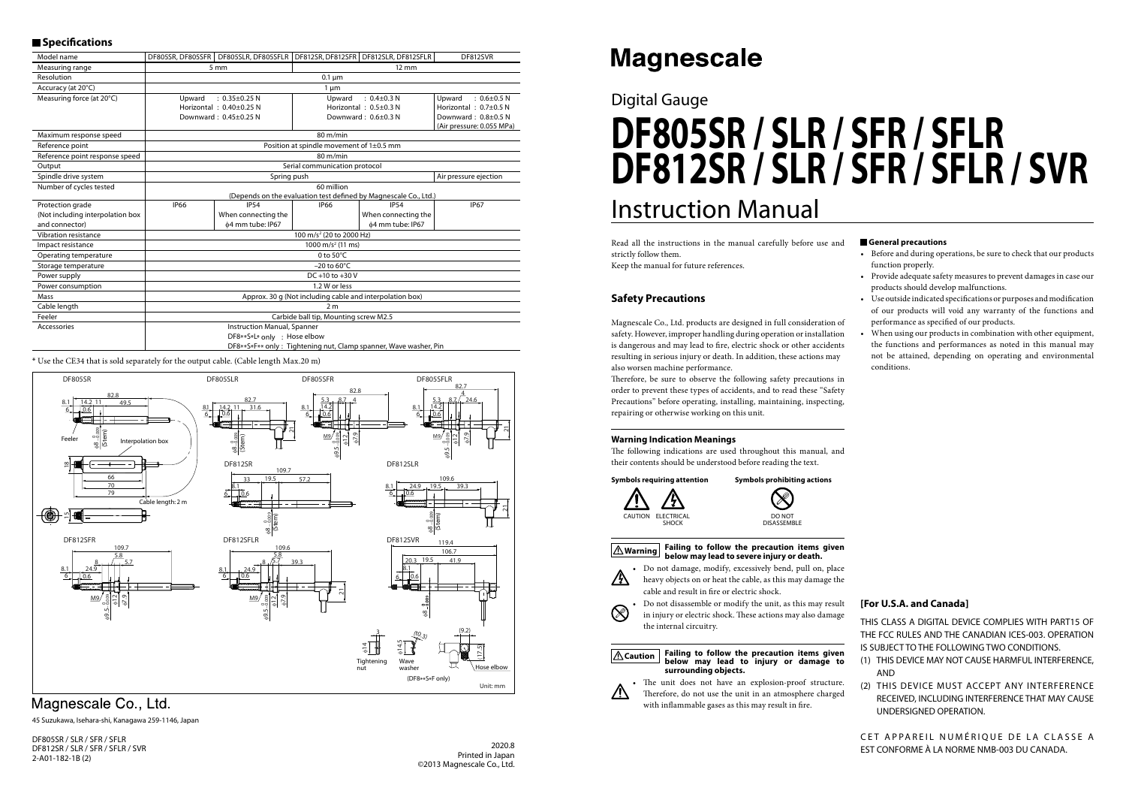## Digital Gauge

# Instruction Manual **DF805SR / SLR / SFR / SFLR DF812SR / SLR / SFR / SFLR / SVR**

#### **General precautions**

- Before and during operations, be sure to check that our products function properly.
- Provide adequate safety measures to prevent damages in case our products should develop malfunctions.
- Use outside indicated specifications or purposes and modification of our products will void any warranty of the functions and performance as specified of our products.
- When using our products in combination with other equipment, the functions and performances as noted in this manual may not be attained, depending on operating and environmental conditions.

Therefore, be sure to observe the following safety precautions in order to prevent these types of accidents, and to read these "Safety Precautions" before operating, installing, maintaining, inspecting, repairing or otherwise working on this unit.

Read all the instructions in the manual carefully before use and strictly follow them.

The following indications are used throughout this manual, and their contents should be understood before reading the text.

Keep the manual for future references.

### **Safety Precautions**

• Do not damage, modify, excessively bend, pull on, place 八 heavy objects on or heat the cable, as this may damage the cable and result in fire or electric shock.



Magnescale Co., Ltd. products are designed in full consideration of safety. However, improper handling during operation or installation is dangerous and may lead to fire, electric shock or other accidents resulting in serious injury or death. In addition, these actions may also worsen machine performance.

#### **Warning Indication Meanings**

CET APPAREIL NUMÉRIQUE DE LA CLASSE A EST CONFORME À LA NORME NMB-003 DU CANADA.

#### **Symbols requiring attention Symbols prohibiting actions**



## $\otimes$ DO NOT **DISASSEMBLE**

#### **Warning Failing to follow the precaution items given below may lead to severe injury or death.**

• Do not disassemble or modify the unit, as this may result in injury or electric shock. These actions may also damage the internal circuitry.





• The unit does not have an explosion-proof structure. Therefore, do not use the unit in an atmosphere charged with inflammable gases as this may result in fire.

2020.8 Printed in Japan ©2013 Magnescale Co., Ltd.

## **Magnescale**

DF805SR / SLR / SFR / SFLR DF812SR / SLR / SFR / SFLR / SVR 2-A01-182-1B (2)

#### **[For U.S.A. and Canada]**

THIS CLASS A DIGITAL DEVICE COMPLIES WITH PART15 OF THE FCC RULES AND THE CANADIAN ICES-003. OPERATION IS SUBJECT TO THE FOLLOWING TWO CONDITIONS.

- (1) THIS DEVICE MAY NOT CAUSE HARMFUL INTERFERENCE, AND
- (2) THIS DEVICE MUST ACCEPT ANY INTERFERENCE RECEIVED, INCLUDING INTERFERENCE THAT MAY CAUSE UNDERSIGNED OPERATION.

45 Suzukawa, Isehara-shi, Kanagawa 259-1146, Japan

#### **Specifications**

| Model name                       | DF805SR, DF805SFR                                                                               | DF805SLR, DF805SFLR                      |                                                                  | DF812SR, DF812SFR   DF812SLR, DF812SFLR | DF812SVR                    |  |
|----------------------------------|-------------------------------------------------------------------------------------------------|------------------------------------------|------------------------------------------------------------------|-----------------------------------------|-----------------------------|--|
| Measuring range                  |                                                                                                 | 5 mm                                     | $12 \text{ mm}$                                                  |                                         |                             |  |
| Resolution                       |                                                                                                 |                                          | $0.1 \mu m$                                                      |                                         |                             |  |
| Accuracy (at 20°C)               | $1 \mu m$                                                                                       |                                          |                                                                  |                                         |                             |  |
| Measuring force (at 20°C)        | Upward                                                                                          | $: 0.35 \pm 0.25$ N                      | Upward                                                           | $: 0.4 \pm 0.3 N$                       | $: 0.6 \pm 0.5 N$<br>Upward |  |
|                                  |                                                                                                 | Horizontal: $0.40\pm0.25$ N              |                                                                  | Horizontal: 0.5±0.3 N                   | Horizontal: $0.7\pm0.5$ N   |  |
|                                  |                                                                                                 | Downward: 0.45±0.25 N                    |                                                                  | Downward: $0.6\pm0.3$ N                 | Downward: 0.8±0.5 N         |  |
|                                  |                                                                                                 |                                          |                                                                  |                                         | (Air pressure: 0.055 MPa)   |  |
| Maximum response speed           | $80 \text{ m/min}$                                                                              |                                          |                                                                  |                                         |                             |  |
| Reference point                  |                                                                                                 | Position at spindle movement of 1±0.5 mm |                                                                  |                                         |                             |  |
| Reference point response speed   | $80 \text{ m/min}$                                                                              |                                          |                                                                  |                                         |                             |  |
| Output                           | Serial communication protocol                                                                   |                                          |                                                                  |                                         |                             |  |
| Spindle drive system             |                                                                                                 | Spring push                              | Air pressure ejection                                            |                                         |                             |  |
| Number of cycles tested          | 60 million                                                                                      |                                          |                                                                  |                                         |                             |  |
|                                  |                                                                                                 |                                          | (Depends on the evaluation test defined by Magnescale Co., Ltd.) |                                         |                             |  |
| Protection grade                 | <b>IP66</b>                                                                                     | <b>IP54</b>                              | <b>IP66</b>                                                      | <b>IP54</b>                             | <b>IP67</b>                 |  |
| (Not including interpolation box |                                                                                                 | When connecting the                      |                                                                  | When connecting the                     |                             |  |
| and connector)                   |                                                                                                 | φ4 mm tube: IP67                         |                                                                  | φ4 mm tube: IP67                        |                             |  |
| Vibration resistance             | 100 m/s <sup>2</sup> (20 to 2000 Hz)                                                            |                                          |                                                                  |                                         |                             |  |
| Impact resistance                | 1000 m/s <sup>2</sup> (11 ms)                                                                   |                                          |                                                                  |                                         |                             |  |
| Operating temperature            | 0 to $50^{\circ}$ C                                                                             |                                          |                                                                  |                                         |                             |  |
| Storage temperature              | $-20$ to 60 $\degree$ C                                                                         |                                          |                                                                  |                                         |                             |  |
| Power supply                     | $DC +10$ to $+30$ V                                                                             |                                          |                                                                  |                                         |                             |  |
| Power consumption                | 1.2 W or less                                                                                   |                                          |                                                                  |                                         |                             |  |
| Mass                             | Approx. 30 q (Not including cable and interpolation box)                                        |                                          |                                                                  |                                         |                             |  |
| Cable length                     | 2 <sub>m</sub>                                                                                  |                                          |                                                                  |                                         |                             |  |
| Feeler                           | Carbide ball tip, Mounting screw M2.5                                                           |                                          |                                                                  |                                         |                             |  |
| Accessories                      | <b>Instruction Manual, Spanner</b>                                                              |                                          |                                                                  |                                         |                             |  |
|                                  | DF8**S*L* only : Hose elbow<br>DF8**S*F** only: Tightening nut, Clamp spanner, Wave washer, Pin |                                          |                                                                  |                                         |                             |  |
|                                  |                                                                                                 |                                          |                                                                  |                                         |                             |  |

\* Use the CE34 that is sold separately for the output cable. (Cable length Max.20 m)



## Magnescale Co., Ltd.